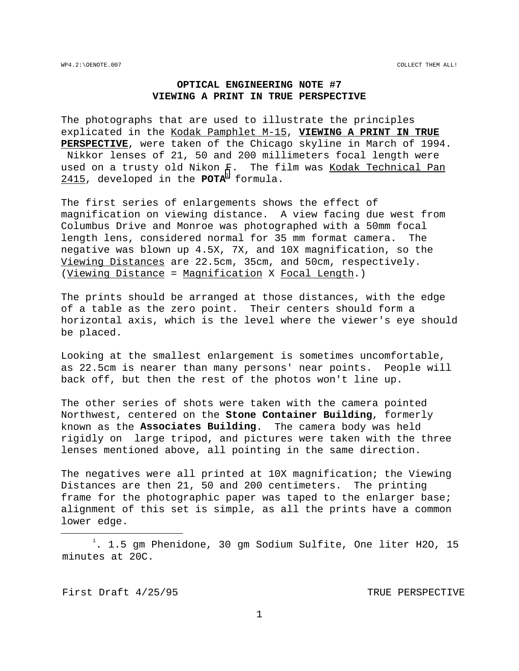# **OPTICAL ENGINEERING NOTE #7 VIEWING A PRINT IN TRUE PERSPECTIVE**

The photographs that are used to illustrate the principles explicated in the Kodak Pamphlet M-15, **VIEWING A PRINT IN TRUE PERSPECTIVE**, were taken of the Chicago skyline in March of 1994. Nikkor lenses of 21, 50 and 200 millimeters focal length were used on a trusty old Nikon F. The film was Kodak Technical Pan 2415, developed in the **POTA**<sup>1</sup> formula.

The first series of enlargements shows the effect of magnification on viewing distance. A view facing due west from Columbus Drive and Monroe was photographed with a 50mm focal length lens, considered normal for 35 mm format camera. The negative was blown up 4.5X, 7X, and 10X magnification, so the Viewing Distances are 22.5cm, 35cm, and 50cm, respectively. (Viewing Distance = Magnification X Focal Length.)

The prints should be arranged at those distances, with the edge of a table as the zero point. Their centers should form a horizontal axis, which is the level where the viewer's eye should be placed.

Looking at the smallest enlargement is sometimes uncomfortable, as 22.5cm is nearer than many persons' near points. People will back off, but then the rest of the photos won't line up.

The other series of shots were taken with the camera pointed Northwest, centered on the **Stone Container Building**, formerly known as the **Associates Building**. The camera body was held rigidly on large tripod, and pictures were taken with the three lenses mentioned above, all pointing in the same direction.

The negatives were all printed at 10X magnification; the Viewing Distances are then 21, 50 and 200 centimeters. The printing frame for the photographic paper was taped to the enlarger base; alignment of this set is simple, as all the prints have a common lower edge.

First Draft 4/25/95 TRUE PERSPECTIVE

÷,

 $\frac{1}{1}$  $^1$ . 1.5 gm Phenidone, 30 gm Sodium Sulfite, One liter H2O, 15 minutes at 20C.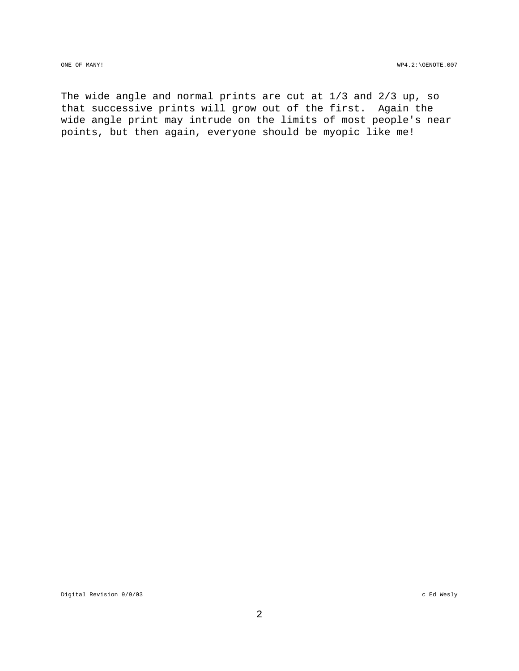The wide angle and normal prints are cut at 1/3 and 2/3 up, so that successive prints will grow out of the first. Again the wide angle print may intrude on the limits of most people's near points, but then again, everyone should be myopic like me!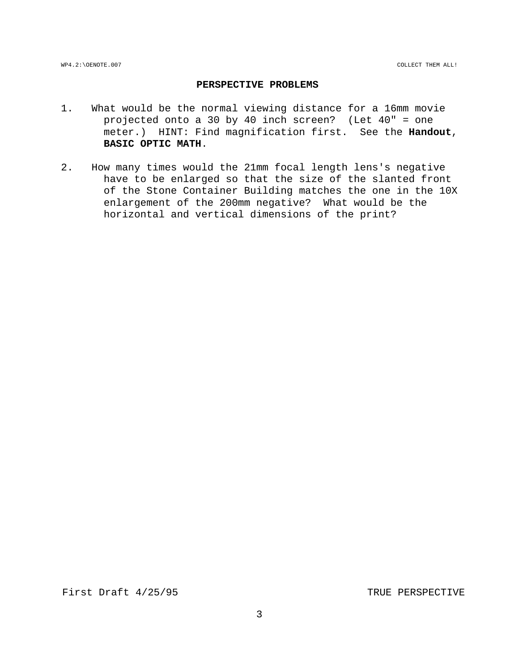# **PERSPECTIVE PROBLEMS**

- 1. What would be the normal viewing distance for a 16mm movie projected onto a 30 by 40 inch screen? (Let 40" = one meter.) HINT: Find magnification first. See the **Handout**, **BASIC OPTIC MATH**.
- 2. How many times would the 21mm focal length lens's negative have to be enlarged so that the size of the slanted front of the Stone Container Building matches the one in the 10X enlargement of the 200mm negative? What would be the horizontal and vertical dimensions of the print?

First Draft 4/25/95 TRUE PERSPECTIVE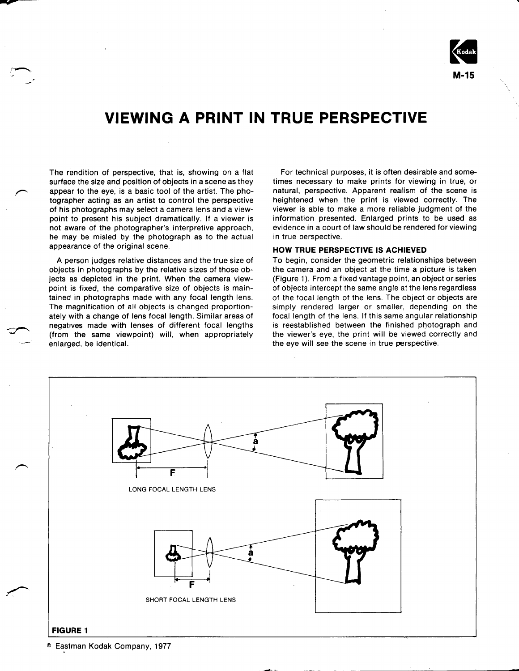

# **VIEWING A PRINT IN TRUE PERSPECTIVE**

The rendition of perspective, that is, showing on a flat surface the size and position of objects in a scene as they appear to the eye, is a basic tool of the artist. The photographer acting as an artist to control the perspective of his photographs may select a camera lens and a viewpoint to present his subject dramatically. If a viewer is not aware of the photographer's interpretive approach, he may be misled by the photograph as to the actual appearance of the original scene.

A person judges relative distances and the true size of objects in photographs by the relative sizes of those objects as depicted in the print. When the camera viewpoint is fixed, the comparative size of objects is maintained in photographs made with any focal length lens. The magnification of all objects is changed proportionately with a change of lens focal length. Similar areas of negatives made with lenses of different focal lengths (from the same viewpoint) will, when appropriately enlarged, be identical.

For technical purposes, it is often desirable and sometimes necessary to make prints for viewing in true, or natural, perspective. Apparent realism of the scene is heightened when the print is viewed correctly. The viewer is able to make a more reliable judgment of the information presented. Enlarged prints to be used as evidence in a court of law should be rendered for viewing in true perspective.

#### HOW TRUE PERSPECTIVE IS ACHIEVED

To begin, consider the geometric relationships between the camera and an object at the time a picture is taken (Figure 1). From a fixed vantage point, an object or series of objects intercept the same angle at the lens regardless of the focal length of the lens. The object or objects are simply rendered larger or smaller, depending on the focal length of the lens. If this same angular relationship is reestablished between the finished photograph and the viewer's eye, the print will be viewed correctly and the eye will see the scene in true perspective.



Eastman Kodak Company, 1977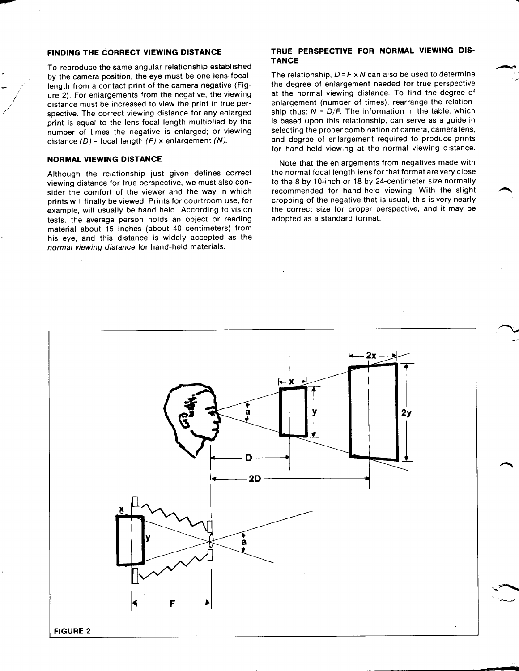#### FINDING THE CORRECT VIEWING DISTANCE

To reproduce the same angular relationship established by the camera position, the eye must be one lens-focallength from a contact print of the camera negative (Figure 2). For enlargements from the negative, the viewing distance must be increased to view the print in true perspective. The correct viewing distance for any enlarged print is equal to the lens focal length multiplied by the number of times the negative is enlarged; or viewing distance  $(D)$  = focal length  $(F)$  x enlargement  $(N)$ .

## **NORMAL VIEWING DISTANCE**

Although the relationship just given defines correct viewing distance for true perspective, we must also consider the comfort of the viewer and the way in which prints will finally be viewed. Prints for courtroom use, for example, will usually be hand held. According to vision tests, the average person holds an object or reading material about 15 inches (about 40 centimeters) from his eye, and this distance is widely accepted as the normal viewing distance for hand-held materials.

## TRUE PERSPECTIVE FOR NORMAL VIEWING DIS-**TANCE**

The relationship,  $D = F \times N$  can also be used to determine the degree of enlargement needed for true perspective at the normal viewing distance. To find the degree of enlargement (number of times), rearrange the relationship thus:  $N = D/F$ . The information in the table, which is based upon this relationship, can serve as a guide in selecting the proper combination of camera, camera lens, and degree of enlargement required to produce prints for hand-held viewing at the normal viewing distance.

Note that the enlargements from negatives made with the normal focal length lens for that format are very close to the 8 by 10-inch or 18 by 24-centimeter size normally recommended for hand-held viewing. With the slight cropping of the negative that is usual, this is very nearly the correct size for proper perspective, and it may be adopted as a standard format.

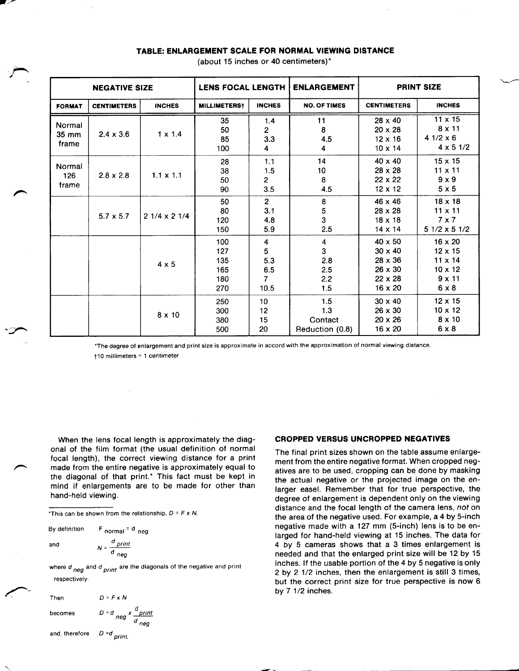| <b>NEGATIVE SIZE</b>                 |                    |                    | <b>LENS FOCAL LENGTH</b>               |                                                | <b>ENLARGEMENT</b>                                       | <b>PRINT SIZE</b>                                                                                 |                                                                                                       |
|--------------------------------------|--------------------|--------------------|----------------------------------------|------------------------------------------------|----------------------------------------------------------|---------------------------------------------------------------------------------------------------|-------------------------------------------------------------------------------------------------------|
| <b>FORMAT</b>                        | <b>CENTIMETERS</b> | <b>INCHES</b>      | <b>MILLIMETERS</b> †                   | <b>INCHES</b>                                  | <b>NO. OF TIMES</b>                                      | <b>CENTIMETERS</b>                                                                                | <b>INCHES</b>                                                                                         |
| Normal<br>$35 \, \text{mm}$<br>frame | $2.4 \times 3.6$   | $1 \times 1.4$     | 35<br>50<br>85<br>100                  | 1.4<br>$\overline{2}$<br>3.3<br>4              | 11<br>8<br>4.5<br>4                                      | $28 \times 40$<br>$20 \times 28$<br>$12 \times 16$<br>$10 \times 14$                              | $11 \times 15$<br>$8 \times 11$<br>$41/2 \times 6$<br>$4 \times 5 \frac{1}{2}$                        |
| Normal<br>126<br>frame               | $2.8 \times 2.8$   | $1.1 \times 1.1$   | 28<br>38<br>50<br>90                   | 1.1<br>1.5<br>$\mathbf{2}$<br>3.5              | 14<br>10<br>8<br>4.5                                     | $40 \times 40$<br>$28 \times 28$<br>$22 \times 22$<br>$12 \times 12$                              | $15 \times 15$<br>$11 \times 11$<br>$9 \times 9$<br>$5 \times 5$                                      |
|                                      | $5.7 \times 5.7$   | $21/4 \times 21/4$ | 50<br>80<br>120<br>150                 | $2^{\circ}$<br>3.1<br>4.8<br>5.9               | 8<br>5<br>3<br>2.5                                       | 46 x 46<br>$28 \times 28$<br>$18 \times 18$<br>$14 \times 14$                                     | $18 \times 18$<br>$11 \times 11$<br>$7 \times 7$<br>$51/2 \times 51/2$                                |
|                                      |                    | $4 \times 5$       | 100<br>127<br>135<br>165<br>180<br>270 | 4<br>5<br>5.3<br>6.5<br>$\overline{7}$<br>10.5 | $\overline{\mathbf{4}}$<br>3<br>2.8<br>2.5<br>2.2<br>1.5 | $40 \times 50$<br>$30 \times 40$<br>$28 \times 36$<br>$26 \times 30$<br>$22 \times 28$<br>16 x 20 | $16 \times 20$<br>$12 \times 15$<br>$11 \times 14$<br>$10 \times 12$<br>$9 \times 11$<br>$6 \times 8$ |
|                                      |                    | $8 \times 10$      | 250<br>300<br>380<br>500               | 10<br>12<br>15<br>20                           | 1.5<br>1.3<br>Contact<br>Reduction (0.8)                 | $30 \times 40$<br>$26 \times 30$<br>$20 \times 26$<br>$16 \times 20$                              | $12 \times 15$<br>$10 \times 12$<br>$8 \times 10$<br>$6 \times 8$                                     |

# TABLE: ENLARGEMENT SCALE FOR NORMAL VIEWING DISTANCE

(about 15 inches or 40 centimeters)\*

\*The degree of enlargement and print size is approximate in accord with the approximation of normal viewing distance. +10 millimeters = 1 centimeter

When the lens focal length is approximately the diagonal of the film format (the usual definition of normal focal length), the correct viewing distance for a print made from the entire negative is approximately equal to the diagonal of that print.\* This fact must be kept in mind if enlargements are to be made for other than hand-held viewing.

\*This can be shown from the relationship,  $D = F \times N$ .

By definition  $F$  normal  $=$  d neg

$$
\mathsf{id} =
$$

ar

 $\frac{d}{p}$ rint  $N =$  $\overline{d}$ <sub>neg</sub>

where  $d$   $_{neg}$  and  $d$   $_{print}$  are the diagonals of the negative and print respectively.

| Then                          | $D = F \times N$                       |
|-------------------------------|----------------------------------------|
| becomes                       | $D = d$ $neg \times \frac{d}{d}$ print |
| and, therefore $D = d$ print. |                                        |

**CROPPED VERSUS UNCROPPED NEGATIVES** 

The final print sizes shown on the table assume enlargement from the entire negative format. When cropped negatives are to be used, cropping can be done by masking the actual negative or the projected image on the enlarger easel. Remember that for true perspective, the degree of enlargement is dependent only on the viewing distance and the focal length of the camera lens, not on the area of the negative used. For example, a 4 by 5-inch negative made with a 127 mm (5-inch) lens is to be enlarged for hand-held viewing at 15 inches. The data for 4 by 5 cameras shows that a 3 times enlargement is needed and that the enlarged print size will be 12 by 15 inches. If the usable portion of the 4 by 5 negative is only 2 by 2 1/2 inches, then the enlargement is still 3 times, but the correct print size for true perspective is now 6 by 7 1/2 inches.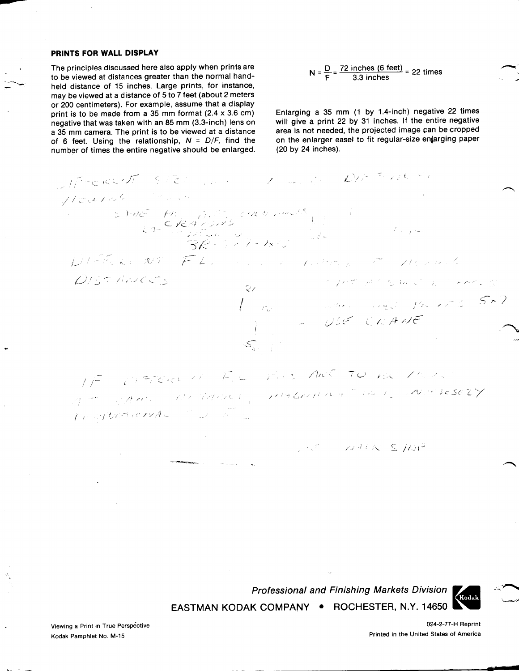#### PRINTS FOR WALL DISPLAY

The principles discussed here also apply when prints are to be viewed at distances greater than the normal handheld distance of 15 inches. Large prints, for instance, may be viewed at a distance of 5 to 7 feet (about 2 meters or 200 centimeters). For example, assume that a display print is to be made from a 35 mm format (2.4 x 3.6 cm) negative that was taken with an 85 mm (3.3-inch) lens on a 35 mm camera. The print is to be viewed at a distance of 6 feet. Using the relationship,  $N = D/F$ , find the number of times the entire negative should be enlarged.

$$
N = \frac{D}{F} = \frac{72 \text{ inches } (6 \text{ feet})}{3.3 \text{ inches}} = 22 \text{ times}
$$

Enlarging a 35 mm (1 by 1.4-inch) negative 22 times will give a print 22 by 31 inches. If the entire negative area is not needed, the projected image can be cropped on the enlarger easel to fit regular-size enlarging paper (20 by 24 inches).

والأنابي والمراري والمستقطع والمراري

$$
MERCAT = 8124
$$

 $N H(X, S, H)$ 

Professional and Finishing Markets Division EASTMAN KODAK COMPANY . ROCHESTER, N.Y. 14650



Viewing a Print in True Perspective Kodak Pamphlet No. M-15

024-2-77-H Reprint Printed in the United States of America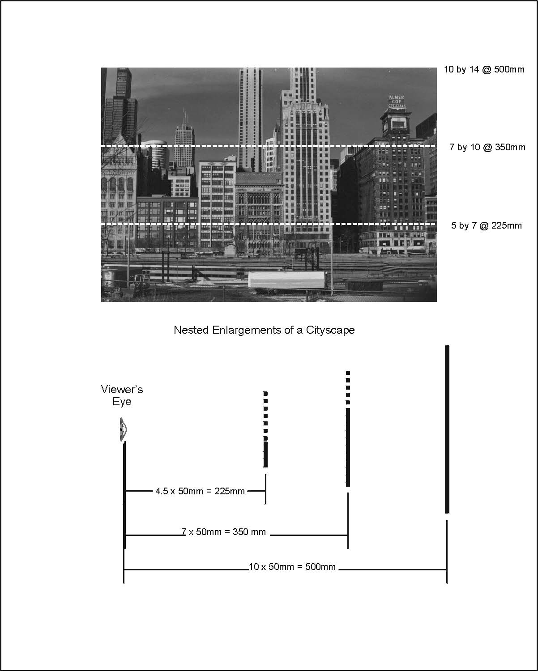

Nested Enlargements of a Cityscape